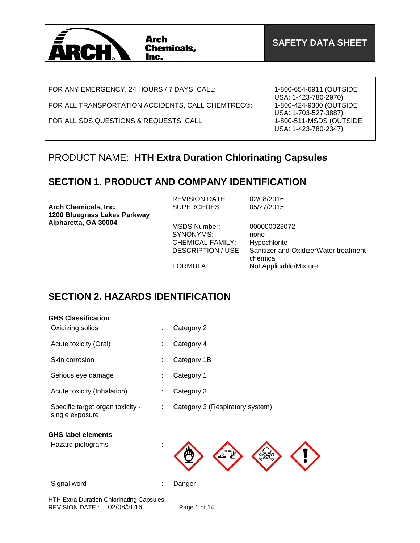

FOR ANY EMERGENCY, 24 HOURS / 7 DAYS, CALL:

FOR ALL TRANSPORTATION ACCIDENTS, CALL CHEMTREC®:

FOR ALL SDS QUESTIONS & REQUESTS, CALL:

1-800-654-6911 (OUTSIDE USA: 1-423-780-2970) 1-800-424-9300 (OUTSIDE USA: 1-703-527-3887) 1-800-511-MSDS (OUTSIDE USA: 1-423-780-2347)

### PRODUCT NAME: **HTH Extra Duration Chlorinating Capsules**

## **SECTION 1. PRODUCT AND COMPANY IDENTIFICATION**

| Arch Chemicals, Inc.<br>1200 Bluegrass Lakes Parkway | <b>REVISION DATE:</b><br>SUPERCEDES:                                      | 02/08/2016<br>05/27/2015                                                                  |
|------------------------------------------------------|---------------------------------------------------------------------------|-------------------------------------------------------------------------------------------|
| Alpharetta, GA 30004                                 | MSDS Number:<br>SYNONYMS:<br><b>CHEMICAL FAMILY:</b><br>DESCRIPTION / USE | 000000023072<br>none<br>Hypochlorite<br>Sanitizer and OxidizerWater treatment<br>chemical |
|                                                      | FORMULA:                                                                  | Not Applicable/Mixture                                                                    |

## **SECTION 2. HAZARDS IDENTIFICATION**

### **GHS Classification**

| Oxidizing solids                                    | ÷  | Category 2                      |
|-----------------------------------------------------|----|---------------------------------|
| Acute toxicity (Oral)                               |    | Category 4                      |
| Skin corrosion                                      |    | Category 1B                     |
| Serious eye damage                                  |    | Category 1                      |
| Acute toxicity (Inhalation)                         |    | Category 3                      |
| Specific target organ toxicity -<br>single exposure | ÷  | Category 3 (Respiratory system) |
| <b>GHS label elements</b>                           |    |                                 |
| Hazard pictograms                                   | İ. |                                 |
| Signal word                                         | ÷  | Danger                          |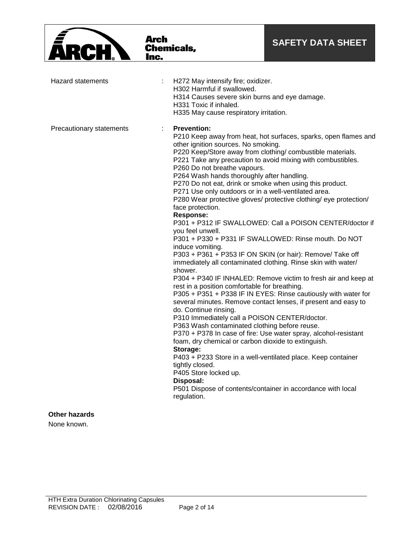

### **Other hazards**

None known.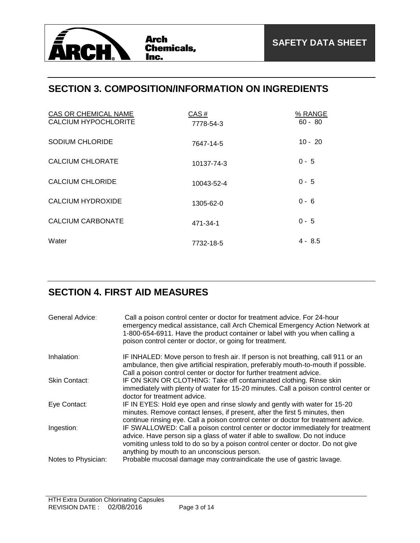

### **SECTION 3. COMPOSITION/INFORMATION ON INGREDIENTS**

| CAS OR CHEMICAL NAME<br><b>CALCIUM HYPOCHLORITE</b> | CAS#<br>7778-54-3 | % RANGE<br>$60 - 80$ |
|-----------------------------------------------------|-------------------|----------------------|
| <b>SODIUM CHLORIDE</b>                              | 7647-14-5         | $10 - 20$            |
| CALCIUM CHLORATE                                    | 10137-74-3        | $0 - 5$              |
| CALCIUM CHLORIDE                                    | 10043-52-4        | $0 - 5$              |
| CALCIUM HYDROXIDE                                   | 1305-62-0         | $0 - 6$              |
| CALCIUM CARBONATE                                   | 471-34-1          | $0 - 5$              |
| Water                                               | 7732-18-5         | 4 - 8.5              |

# **SECTION 4. FIRST AID MEASURES**

| General Advice:     | Call a poison control center or doctor for treatment advice. For 24-hour<br>emergency medical assistance, call Arch Chemical Emergency Action Network at<br>1-800-654-6911. Have the product container or label with you when calling a<br>poison control center or doctor, or going for treatment. |
|---------------------|-----------------------------------------------------------------------------------------------------------------------------------------------------------------------------------------------------------------------------------------------------------------------------------------------------|
| Inhalation:         | IF INHALED: Move person to fresh air. If person is not breathing, call 911 or an<br>ambulance, then give artificial respiration, preferably mouth-to-mouth if possible.                                                                                                                             |
| Skin Contact:       | Call a poison control center or doctor for further treatment advice.<br>IF ON SKIN OR CLOTHING: Take off contaminated clothing. Rinse skin<br>immediately with plenty of water for 15-20 minutes. Call a poison control center or<br>doctor for treatment advice.                                   |
| Eye Contact:        | IF IN EYES: Hold eye open and rinse slowly and gently with water for 15-20<br>minutes. Remove contact lenses, if present, after the first 5 minutes, then<br>continue rinsing eye. Call a poison control center or doctor for treatment advice.                                                     |
| Ingestion:          | IF SWALLOWED: Call a poison control center or doctor immediately for treatment<br>advice. Have person sip a glass of water if able to swallow. Do not induce<br>vomiting unless told to do so by a poison control center or doctor. Do not give<br>anything by mouth to an unconscious person.      |
| Notes to Physician: | Probable mucosal damage may contraindicate the use of gastric lavage.                                                                                                                                                                                                                               |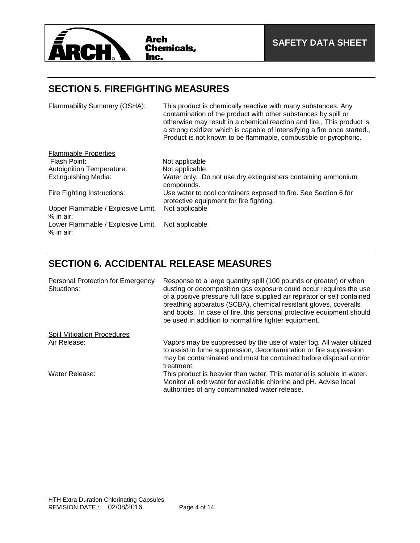

### **SECTION 5. FIREFIGHTING MEASURES**

| Flammability Summary (OSHA):                      | This product is chemically reactive with many substances. Any<br>contamination of the product with other substances by spill or<br>otherwise may result in a chemical reaction and fire., This product is<br>a strong oxidizer which is capable of intensifying a fire once started.,<br>Product is not known to be flammable, combustible or pyrophoric. |
|---------------------------------------------------|-----------------------------------------------------------------------------------------------------------------------------------------------------------------------------------------------------------------------------------------------------------------------------------------------------------------------------------------------------------|
| <b>Flammable Properties</b>                       |                                                                                                                                                                                                                                                                                                                                                           |
| Flash Point:                                      | Not applicable                                                                                                                                                                                                                                                                                                                                            |
| <b>Autoignition Temperature:</b>                  | Not applicable                                                                                                                                                                                                                                                                                                                                            |
| <b>Extinguishing Media:</b>                       | Water only. Do not use dry extinguishers containing ammonium<br>compounds.                                                                                                                                                                                                                                                                                |
| Fire Fighting Instructions:                       | Use water to cool containers exposed to fire. See Section 6 for<br>protective equipment for fire fighting.                                                                                                                                                                                                                                                |
| Upper Flammable / Explosive Limit,<br>$%$ in air: | Not applicable                                                                                                                                                                                                                                                                                                                                            |
| Lower Flammable / Explosive Limit,<br>% in air:   | Not applicable                                                                                                                                                                                                                                                                                                                                            |

# **SECTION 6. ACCIDENTAL RELEASE MEASURES**

| Personal Protection for Emergency<br>Situations: | Response to a large quantity spill (100 pounds or greater) or when<br>dusting or decomposition gas exposure could occur requires the use<br>of a positive pressure full face supplied air repirator or self contained<br>breathing apparatus (SCBA), chemical resistant gloves, coveralls<br>and boots. In case of fire, this personal protective equipment should<br>be used in addition to normal fire fighter equipment. |
|--------------------------------------------------|-----------------------------------------------------------------------------------------------------------------------------------------------------------------------------------------------------------------------------------------------------------------------------------------------------------------------------------------------------------------------------------------------------------------------------|
| <b>Spill Mitigation Procedures</b>               |                                                                                                                                                                                                                                                                                                                                                                                                                             |
| Air Release:                                     | Vapors may be suppressed by the use of water fog. All water utilized<br>to assist in fume suppression, decontamination or fire suppression<br>may be contaminated and must be contained before disposal and/or<br>treatment.                                                                                                                                                                                                |
| Water Release:                                   | This product is heavier than water. This material is soluble in water.<br>Monitor all exit water for available chlorine and pH. Advise local<br>authorities of any contaminated water release.                                                                                                                                                                                                                              |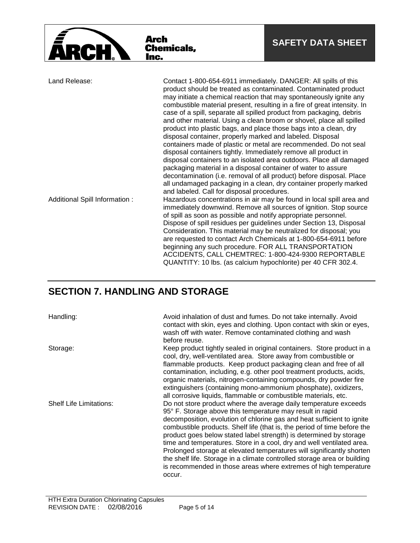|                                                                                                                                                                                                                                                                                     | Arch<br><b>Chemicals,</b><br>Inc.                                                                                                                                                                                                                                                                | <b>SAFETY DATA SHEET</b>                                                                                                                                                                                                                                                                                                                                                                                                                                                                                                                                                                                                                              |
|-------------------------------------------------------------------------------------------------------------------------------------------------------------------------------------------------------------------------------------------------------------------------------------|--------------------------------------------------------------------------------------------------------------------------------------------------------------------------------------------------------------------------------------------------------------------------------------------------|-------------------------------------------------------------------------------------------------------------------------------------------------------------------------------------------------------------------------------------------------------------------------------------------------------------------------------------------------------------------------------------------------------------------------------------------------------------------------------------------------------------------------------------------------------------------------------------------------------------------------------------------------------|
| Land Release:<br>Contact 1-800-654-6911 immediately. DANGER: All spills of this<br>product into plastic bags, and place those bags into a clean, dry<br>disposal container, properly marked and labeled. Disposal<br>disposal containers tightly. Immediately remove all product in |                                                                                                                                                                                                                                                                                                  | product should be treated as contaminated. Contaminated product<br>may initiate a chemical reaction that may spontaneously ignite any<br>combustible material present, resulting in a fire of great intensity. In<br>case of a spill, separate all spilled product from packaging, debris<br>and other material. Using a clean broom or shovel, place all spilled<br>containers made of plastic or metal are recommended. Do not seal<br>disposal containers to an isolated area outdoors. Place all damaged<br>packaging material in a disposal container of water to assure<br>decontamination (i.e. removal of all product) before disposal. Place |
| Additional Spill Information:                                                                                                                                                                                                                                                       | and labeled. Call for disposal procedures.<br>of spill as soon as possible and notify appropriate personnel.<br>Consideration. This material may be neutralized for disposal; you<br>beginning any such procedure. FOR ALL TRANSPORTATION<br>ACCIDENTS, CALL CHEMTREC: 1-800-424-9300 REPORTABLE | all undamaged packaging in a clean, dry container properly marked<br>Hazardous concentrations in air may be found in local spill area and<br>immediately downwind. Remove all sources of ignition. Stop source<br>Dispose of spill residues per guidelines under Section 13, Disposal<br>are requested to contact Arch Chemicals at 1-800-654-6911 before                                                                                                                                                                                                                                                                                             |

# **SECTION 7. HANDLING AND STORAGE**

Handling: **Avoid inhalation of dust and fumes.** Do not take internally. Avoid contact with skin, eyes and clothing. Upon contact with skin or eyes, wash off with water. Remove contaminated clothing and wash before reuse.

QUANTITY: 10 lbs. (as calcium hypochlorite) per 40 CFR 302.4.

Storage: Storage: Keep product tightly sealed in original containers. Store product in a cool, dry, well-ventilated area. Store away from combustible or flammable products. Keep product packaging clean and free of all contamination, including, e.g. other pool treatment products, acids, organic materials, nitrogen-containing compounds, dry powder fire extinguishers (containing mono-ammonium phosphate), oxidizers, all corrosive liquids, flammable or combustible materials, etc. Shelf Life Limitations: Do not store product where the average daily temperature exceeds 95° F. Storage above this temperature may result in rapid decomposition, evolution of chlorine gas and heat sufficient to ignite combustible products. Shelf life (that is, the period of time before the product goes below stated label strength) is determined by storage time and temperatures. Store in a cool, dry and well ventilated area. Prolonged storage at elevated temperatures will significantly shorten the shelf life. Storage in a climate controlled storage area or building is recommended in those areas where extremes of high temperature occur.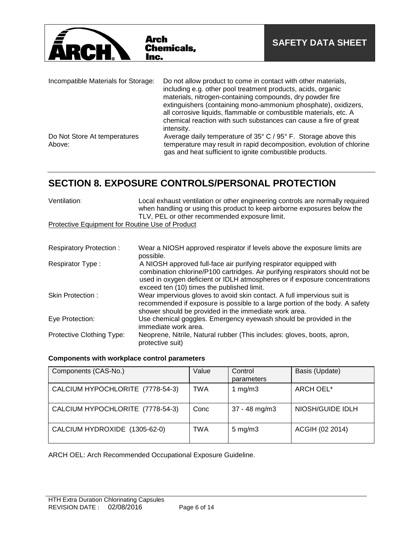

| Incompatible Materials for Storage:    | Do not allow product to come in contact with other materials,<br>including e.g. other pool treatment products, acids, organic<br>materials, nitrogen-containing compounds, dry powder fire<br>extinguishers (containing mono-ammonium phosphate), oxidizers,<br>all corrosive liquids, flammable or combustible materials, etc. A<br>chemical reaction with such substances can cause a fire of great<br>intensity. |
|----------------------------------------|---------------------------------------------------------------------------------------------------------------------------------------------------------------------------------------------------------------------------------------------------------------------------------------------------------------------------------------------------------------------------------------------------------------------|
| Do Not Store At temperatures<br>Above: | Average daily temperature of 35° C / 95° F. Storage above this<br>temperature may result in rapid decomposition, evolution of chlorine<br>gas and heat sufficient to ignite combustible products.                                                                                                                                                                                                                   |

# **SECTION 8. EXPOSURE CONTROLS/PERSONAL PROTECTION**

| Ventilation:                                    | Local exhaust ventilation or other engineering controls are normally required<br>when handling or using this product to keep airborne exposures below the<br>TLV, PEL or other recommended exposure limit. |
|-------------------------------------------------|------------------------------------------------------------------------------------------------------------------------------------------------------------------------------------------------------------|
| Protective Equipment for Routine Use of Product |                                                                                                                                                                                                            |

| <b>Respiratory Protection:</b> | Wear a NIOSH approved respirator if levels above the exposure limits are<br>possible.                                                                                                                                                                                          |
|--------------------------------|--------------------------------------------------------------------------------------------------------------------------------------------------------------------------------------------------------------------------------------------------------------------------------|
| Respirator Type:               | A NIOSH approved full-face air purifying respirator equipped with<br>combination chlorine/P100 cartridges. Air purifying respirators should not be<br>used in oxygen deficient or IDLH atmospheres or if exposure concentrations<br>exceed ten (10) times the published limit. |
| Skin Protection:               | Wear impervious gloves to avoid skin contact. A full impervious suit is<br>recommended if exposure is possible to a large portion of the body. A safety<br>shower should be provided in the immediate work area.                                                               |
| Eye Protection:                | Use chemical goggles. Emergency eyewash should be provided in the<br>immediate work area.                                                                                                                                                                                      |
| Protective Clothing Type:      | Neoprene, Nitrile, Natural rubber (This includes: gloves, boots, apron,<br>protective suit)                                                                                                                                                                                    |

### **Components with workplace control parameters**

| Components (CAS-No.)             | Value | Control<br>parameters | Basis (Update)   |
|----------------------------------|-------|-----------------------|------------------|
| CALCIUM HYPOCHLORITE (7778-54-3) | TWA   | 1 mg/m $3$            | ARCH OEL*        |
| CALCIUM HYPOCHLORITE (7778-54-3) | Conc  | $37 - 48$ mg/m $3$    | NIOSH/GUIDE IDLH |
| CALCIUM HYDROXIDE (1305-62-0)    | TWA   | $5 \text{ mg/m}$      | ACGIH (02 2014)  |

ARCH OEL: Arch Recommended Occupational Exposure Guideline.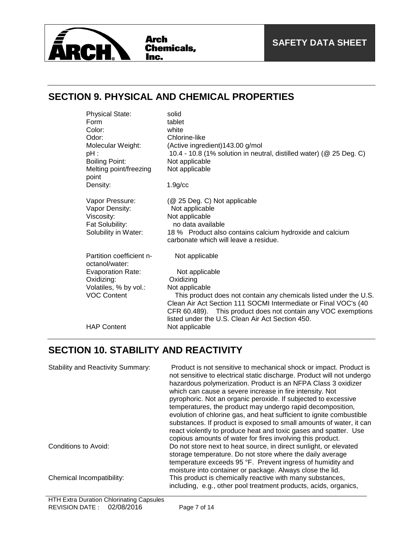

### **SECTION 9. PHYSICAL AND CHEMICAL PROPERTIES**

| <b>Physical State:</b>                     | solid                                                               |
|--------------------------------------------|---------------------------------------------------------------------|
| Form                                       | tablet                                                              |
| Color:                                     | white                                                               |
| Odor:                                      | Chlorine-like                                                       |
| Molecular Weight:                          | (Active ingredient) 143.00 g/mol                                    |
| pH :                                       | 10.4 - 10.8 (1% solution in neutral, distilled water) (@ 25 Deg. C) |
| <b>Boiling Point:</b>                      | Not applicable                                                      |
| Melting point/freezing<br>point            | Not applicable                                                      |
| Density:                                   | $1.9$ g/cc                                                          |
| Vapor Pressure:                            | (@ 25 Deg. C) Not applicable                                        |
| Vapor Density:                             | Not applicable                                                      |
| Viscosity:                                 | Not applicable                                                      |
| Fat Solubility:                            | no data available                                                   |
| Solubility in Water:                       | 18 % Product also contains calcium hydroxide and calcium            |
|                                            | carbonate which will leave a residue.                               |
| Partition coefficient n-<br>octanol/water: | Not applicable                                                      |
| <b>Evaporation Rate:</b>                   | Not applicable                                                      |
| Oxidizing:                                 | Oxidizing                                                           |
| Volatiles, % by vol.:                      | Not applicable                                                      |
| <b>VOC Content</b>                         | This product does not contain any chemicals listed under the U.S.   |
|                                            | Clean Air Act Section 111 SOCMI Intermediate or Final VOC's (40     |
|                                            | CFR 60.489). This product does not contain any VOC exemptions       |
|                                            | listed under the U.S. Clean Air Act Section 450.                    |
| <b>HAP Content</b>                         | Not applicable                                                      |

## **SECTION 10. STABILITY AND REACTIVITY**

| <b>Stability and Reactivity Summary:</b> | Product is not sensitive to mechanical shock or impact. Product is<br>not sensitive to electrical static discharge. Product will not undergo<br>hazardous polymerization. Product is an NFPA Class 3 oxidizer<br>which can cause a severe increase in fire intensity. Not<br>pyrophoric. Not an organic peroxide. If subjected to excessive<br>temperatures, the product may undergo rapid decomposition,<br>evolution of chlorine gas, and heat sufficient to ignite combustible<br>substances. If product is exposed to small amounts of water, it can<br>react violently to produce heat and toxic gases and spatter. Use<br>copious amounts of water for fires involving this product. |
|------------------------------------------|--------------------------------------------------------------------------------------------------------------------------------------------------------------------------------------------------------------------------------------------------------------------------------------------------------------------------------------------------------------------------------------------------------------------------------------------------------------------------------------------------------------------------------------------------------------------------------------------------------------------------------------------------------------------------------------------|
| Conditions to Avoid:                     | Do not store next to heat source, in direct sunlight, or elevated<br>storage temperature. Do not store where the daily average<br>temperature exceeds 95 °F. Prevent ingress of humidity and<br>moisture into container or package. Always close the lid.                                                                                                                                                                                                                                                                                                                                                                                                                                  |
| Chemical Incompatibility:                | This product is chemically reactive with many substances,<br>including, e.g., other pool treatment products, acids, organics,                                                                                                                                                                                                                                                                                                                                                                                                                                                                                                                                                              |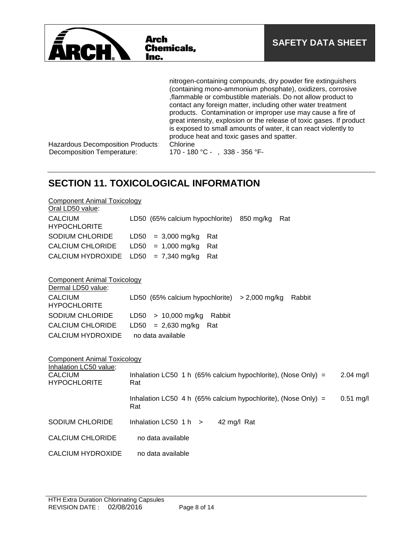

nitrogen-containing compounds, dry powder fire extinguishers (containing mono-ammonium phosphate), oxidizers, corrosive ,flammable or combustible materials. Do not allow product to contact any foreign matter, including other water treatment products. Contamination or improper use may cause a fire of great intensity, explosion or the release of toxic gases. If product is exposed to small amounts of water, it can react violently to produce heat and toxic gases and spatter.

Hazardous Decomposition Products: Chlorine Decomposition Temperature: 170 - 180 °C - , 338 - 356 °F-

## **SECTION 11. TOXICOLOGICAL INFORMATION**

| <b>Component Animal Toxicology</b><br>Oral LD50 value:          |                                                                                        |
|-----------------------------------------------------------------|----------------------------------------------------------------------------------------|
| <b>CALCIUM</b><br><b>HYPOCHLORITE</b>                           | LD50 (65% calcium hypochlorite)<br>850 mg/kg<br>Rat                                    |
| <b>SODIUM CHLORIDE</b>                                          | LD50<br>$= 3,000$ mg/kg<br>Rat                                                         |
| <b>CALCIUM CHLORIDE</b>                                         | LD50<br>$= 1,000$ mg/kg<br>Rat                                                         |
| <b>CALCIUM HYDROXIDE</b>                                        | $= 7,340$ mg/kg<br>LD50<br>Rat                                                         |
| <b>Component Animal Toxicology</b><br>Dermal LD50 value:        |                                                                                        |
| <b>CALCIUM</b><br><b>HYPOCHLORITE</b>                           | LD50 (65% calcium hypochlorite)<br>$> 2,000$ mg/kg<br>Rabbit                           |
| SODIUM CHLORIDE                                                 | $> 10,000$ mg/kg<br>LD50<br>Rabbit                                                     |
| <b>CALCIUM CHLORIDE</b>                                         | $= 2,630$ mg/kg<br>LD50<br>Rat                                                         |
| <b>CALCIUM HYDROXIDE</b>                                        | no data available                                                                      |
| <b>Component Animal Toxicology</b>                              |                                                                                        |
| Inhalation LC50 value:<br><b>CALCIUM</b><br><b>HYPOCHLORITE</b> | Inhalation LC50 1 h $(65\%$ calcium hypochlorite), (Nose Only) =<br>$2.04$ mg/l<br>Rat |
|                                                                 | Inhalation LC50 4 h (65% calcium hypochlorite), (Nose Only) =<br>$0.51$ mg/l<br>Rat    |
| <b>SODIUM CHLORIDE</b>                                          | Inhalation LC50 $1 h$ ><br>42 mg/l Rat                                                 |
| <b>CALCIUM CHLORIDE</b>                                         | no data available                                                                      |
| <b>CALCIUM HYDROXIDE</b>                                        | no data available                                                                      |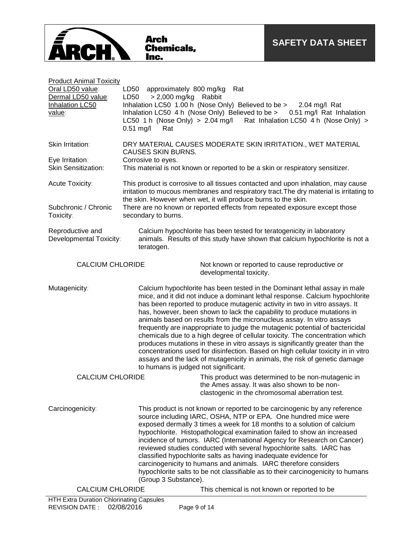| <b>Product Animal Toxicity</b><br>Oral LD50 value:                                                   | LD50 approximately 800 mg/kg<br>Rat                                                                                                                                                                                                                                                                                                                                                                                                                                                                                                                                                                                                                                                                                                                                                                                                                      |  |  |  |  |
|------------------------------------------------------------------------------------------------------|----------------------------------------------------------------------------------------------------------------------------------------------------------------------------------------------------------------------------------------------------------------------------------------------------------------------------------------------------------------------------------------------------------------------------------------------------------------------------------------------------------------------------------------------------------------------------------------------------------------------------------------------------------------------------------------------------------------------------------------------------------------------------------------------------------------------------------------------------------|--|--|--|--|
| Dermal LD50 value:<br>Inhalation LC50<br>value:                                                      | LD50<br>> 2,000 mg/kg Rabbit<br>Inhalation LC50 1.00 h (Nose Only) Believed to be > 2.04 mg/l Rat<br>Inhalation LC50 4 h (Nose Only) Believed to be > 0.51 mg/l Rat Inhalation<br>LC50 1 h (Nose Only) > 2.04 mg/l Rat Inhalation LC50 4 h (Nose Only) ><br>$0.51$ mg/l<br>Rat                                                                                                                                                                                                                                                                                                                                                                                                                                                                                                                                                                           |  |  |  |  |
| Skin Irritation:                                                                                     | DRY MATERIAL CAUSES MODERATE SKIN IRRITATION., WET MATERIAL<br><b>CAUSES SKIN BURNS.</b>                                                                                                                                                                                                                                                                                                                                                                                                                                                                                                                                                                                                                                                                                                                                                                 |  |  |  |  |
| Eye Irritation:<br><b>Skin Sensitization:</b>                                                        | Corrosive to eyes.<br>This material is not known or reported to be a skin or respiratory sensitizer.                                                                                                                                                                                                                                                                                                                                                                                                                                                                                                                                                                                                                                                                                                                                                     |  |  |  |  |
| Acute Toxicity:                                                                                      | This product is corrosive to all tissues contacted and upon inhalation, may cause<br>irritation to mucous membranes and respiratory tract. The dry material is irritating to<br>the skin. However when wet, it will produce burns to the skin.                                                                                                                                                                                                                                                                                                                                                                                                                                                                                                                                                                                                           |  |  |  |  |
| Subchronic / Chronic<br>Toxicity:                                                                    | There are no known or reported effects from repeated exposure except those<br>secondary to burns.                                                                                                                                                                                                                                                                                                                                                                                                                                                                                                                                                                                                                                                                                                                                                        |  |  |  |  |
| Reproductive and<br>Developmental Toxicity:                                                          | Calcium hypochlorite has been tested for teratogenicity in laboratory<br>animals. Results of this study have shown that calcium hypochlorite is not a<br>teratogen.                                                                                                                                                                                                                                                                                                                                                                                                                                                                                                                                                                                                                                                                                      |  |  |  |  |
| <b>CALCIUM CHLORIDE</b><br>Not known or reported to cause reproductive or<br>developmental toxicity. |                                                                                                                                                                                                                                                                                                                                                                                                                                                                                                                                                                                                                                                                                                                                                                                                                                                          |  |  |  |  |
| Mutagenicity:                                                                                        | Calcium hypochlorite has been tested in the Dominant lethal assay in male<br>mice, and it did not induce a dominant lethal response. Calcium hypochlorite<br>has been reported to produce mutagenic activity in two in vitro assays. It<br>has, however, been shown to lack the capability to produce mutations in<br>animals based on results from the micronucleus assay. In vitro assays<br>frequently are inappropriate to judge the mutagenic potential of bactericidal<br>chemicals due to a high degree of cellular toxicity. The concentration which<br>produces mutations in these in vitro assays is significantly greater than the<br>concentrations used for disinfection. Based on high cellular toxicity in in vitro<br>assays and the lack of mutagenicity in animals, the risk of genetic damage<br>to humans is judged not significant. |  |  |  |  |
| <b>CALCIUM CHLORIDE</b>                                                                              | This product was determined to be non-mutagenic in<br>the Ames assay. It was also shown to be non-<br>clastogenic in the chromosomal aberration test.                                                                                                                                                                                                                                                                                                                                                                                                                                                                                                                                                                                                                                                                                                    |  |  |  |  |
| Carcinogenicity:                                                                                     | This product is not known or reported to be carcinogenic by any reference<br>source including IARC, OSHA, NTP or EPA. One hundred mice were<br>exposed dermally 3 times a week for 18 months to a solution of calcium<br>hypochlorite. Histopathological examination failed to show an increased<br>incidence of tumors. IARC (International Agency for Research on Cancer)<br>reviewed studies conducted with several hypochlorite salts. IARC has<br>classified hypochlorite salts as having inadequate evidence for<br>carcinogenicity to humans and animals. IARC therefore considers<br>hypochlorite salts to be not classifiable as to their carcinogenicity to humans<br>(Group 3 Substance).                                                                                                                                                     |  |  |  |  |
| <b>CALCIUM CHLORIDE</b>                                                                              | This chemical is not known or reported to be                                                                                                                                                                                                                                                                                                                                                                                                                                                                                                                                                                                                                                                                                                                                                                                                             |  |  |  |  |
| HTH Extra Duration Chlorinating Capsules<br><b>REVISION DATE:</b>                                    | 02/08/2016<br>Page 9 of 14                                                                                                                                                                                                                                                                                                                                                                                                                                                                                                                                                                                                                                                                                                                                                                                                                               |  |  |  |  |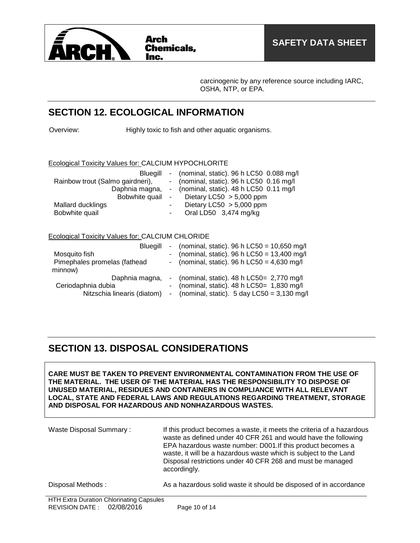

carcinogenic by any reference source including IARC, OSHA, NTP, or EPA.

### **SECTION 12. ECOLOGICAL INFORMATION**

Overview: Highly toxic to fish and other aquatic organisms.

#### Ecological Toxicity Values for: CALCIUM HYPOCHLORITE

| Bluegill                         |        | - (nominal, static). $96 h$ LC50 0.088 mg/l |
|----------------------------------|--------|---------------------------------------------|
| Rainbow trout (Salmo gairdneri), |        | - (nominal, static). 96 h LC50 0.16 mg/l    |
| Daphnia magna,                   |        | - (nominal, static). $48 h$ LC50 0.11 mg/l  |
|                                  |        | Bobwhite quail - Dietary LC50 > 5,000 ppm   |
| Mallard ducklings                | $\sim$ | Dietary LC50 $> 5,000$ ppm                  |
| Bobwhite quail                   | $\sim$ | Oral LD50 3,474 mg/kg                       |

### Ecological Toxicity Values for: CALCIUM CHLORIDE

| Blueaill                     | - (nominal, static). 96 h $LC50 = 10,650$ mg/l          |
|------------------------------|---------------------------------------------------------|
| Mosquito fish                | - (nominal, static). 96 h $LC50 = 13,400$ mg/l          |
| Pimephales promelas (fathead | - (nominal, static). 96 h LC50 = $4,630$ mg/l           |
| minnow)                      |                                                         |
| Daphnia magna,               | - (nominal, static). $48 h$ LC50= 2,770 mg/l            |
| Ceriodaphnia dubia           | - (nominal, static). $48 h$ LC50= 1,830 mg/l            |
| Nitzschia linearis (diatom)  | - (nominal, static). $5 \text{ day }$ LC50 = 3,130 mg/l |

### **SECTION 13. DISPOSAL CONSIDERATIONS**

**CARE MUST BE TAKEN TO PREVENT ENVIRONMENTAL CONTAMINATION FROM THE USE OF THE MATERIAL. THE USER OF THE MATERIAL HAS THE RESPONSIBILITY TO DISPOSE OF UNUSED MATERIAL, RESIDUES AND CONTAINERS IN COMPLIANCE WITH ALL RELEVANT LOCAL, STATE AND FEDERAL LAWS AND REGULATIONS REGARDING TREATMENT, STORAGE AND DISPOSAL FOR HAZARDOUS AND NONHAZARDOUS WASTES.** 

Waste Disposal Summary : If this product becomes a waste, it meets the criteria of a hazardous waste as defined under 40 CFR 261 and would have the following EPA hazardous waste number: D001.If this product becomes a waste, it will be a hazardous waste which is subject to the Land Disposal restrictions under 40 CFR 268 and must be managed accordingly.

Disposal Methods : As a hazardous solid waste it should be disposed of in accordance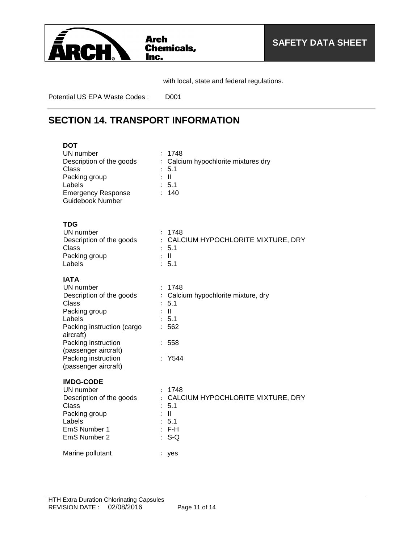

with local, state and federal regulations.

Potential US EPA Waste Codes : D001

### **SECTION 14. TRANSPORT INFORMATION**

| <b>DOT</b><br>UN number<br>Description of the goods<br>Class<br>Packing group<br>Labels<br><b>Emergency Response</b><br><b>Guidebook Number</b>                                                                                          | $\ddot{\cdot}$                                                          | 1748<br>Calcium hypochlorite mixtures dry<br>5.1<br>$\mathbf{I}$<br>: 5.1<br>140                 |
|------------------------------------------------------------------------------------------------------------------------------------------------------------------------------------------------------------------------------------------|-------------------------------------------------------------------------|--------------------------------------------------------------------------------------------------|
| TDG<br>UN number<br>Description of the goods<br>Class<br>Packing group<br>Labels                                                                                                                                                         |                                                                         | 1748<br>: CALCIUM HYPOCHLORITE MIXTURE, DRY<br>$-5.1$<br>$\mathbb{R}$ $\mathbb{R}$<br>: 5.1      |
| <b>IATA</b><br>UN number<br>Description of the goods<br><b>Class</b><br>Packing group<br>Labels<br>Packing instruction (cargo<br>aircraft)<br>Packing instruction<br>(passenger aircraft)<br>Packing instruction<br>(passenger aircraft) | $\ddot{\cdot}$<br>$\ddot{\cdot}$<br>$\mathbf{L}$<br>$\ddot{\cdot}$<br>÷ | 1748<br>Calcium hypochlorite mixture, dry<br>5.1<br>$\mathbf{II}$<br>5.1<br>562<br>558<br>Y544   |
| <b>IMDG-CODE</b><br>UN number<br>Description of the goods<br>Class<br>Packing group<br>Labels<br>EmS Number 1<br>EmS Number 2                                                                                                            |                                                                         | : 1748<br>: CALCIUM HYPOCHLORITE MIXTURE, DRY<br>5.1<br>$\mathbf{II}$<br>5.1<br>$:$ F-H<br>$S-Q$ |
| Marine pollutant                                                                                                                                                                                                                         | $\ddot{\phantom{a}}$                                                    | yes                                                                                              |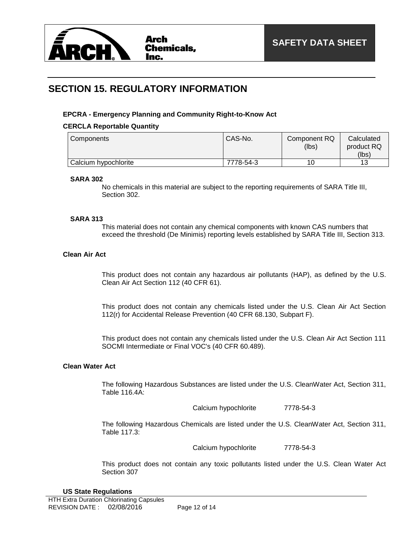

### **SECTION 15. REGULATORY INFORMATION**

#### **EPCRA - Emergency Planning and Community Right-to-Know Act**

#### **CERCLA Reportable Quantity**

| Components           | CAS-No.   | Component RQ<br>(lbs) | Calculated<br>product RQ<br>(lbs) |
|----------------------|-----------|-----------------------|-----------------------------------|
|                      |           |                       |                                   |
| Calcium hypochlorite | 7778-54-3 | 10                    | 12                                |

#### **SARA 302**

No chemicals in this material are subject to the reporting requirements of SARA Title III, Section 302.

#### **SARA 313**

This material does not contain any chemical components with known CAS numbers that exceed the threshold (De Minimis) reporting levels established by SARA Title III, Section 313.

### **Clean Air Act**

This product does not contain any hazardous air pollutants (HAP), as defined by the U.S. Clean Air Act Section 112 (40 CFR 61).

This product does not contain any chemicals listed under the U.S. Clean Air Act Section 112(r) for Accidental Release Prevention (40 CFR 68.130, Subpart F).

This product does not contain any chemicals listed under the U.S. Clean Air Act Section 111 SOCMI Intermediate or Final VOC's (40 CFR 60.489).

#### **Clean Water Act**

The following Hazardous Substances are listed under the U.S. CleanWater Act, Section 311, Table 116.4A:

Calcium hypochlorite 7778-54-3

The following Hazardous Chemicals are listed under the U.S. CleanWater Act, Section 311, Table 117.3:

Calcium hypochlorite 7778-54-3

This product does not contain any toxic pollutants listed under the U.S. Clean Water Act Section 307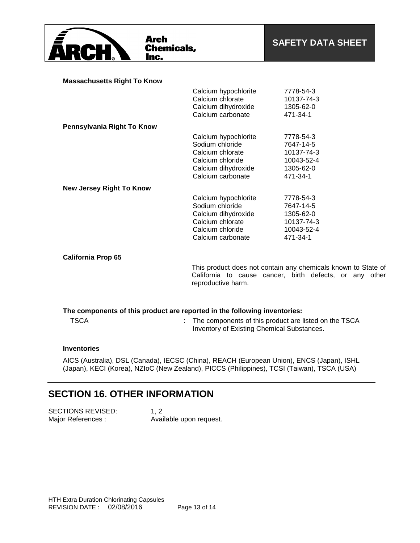

**Arch Chemicals,** Inc.

#### **Massachusetts Right To Know**

|                                 | Calcium hypochlorite | 7778-54-3  |
|---------------------------------|----------------------|------------|
|                                 | Calcium chlorate     | 10137-74-3 |
|                                 | Calcium dihydroxide  | 1305-62-0  |
|                                 | Calcium carbonate    | 471-34-1   |
| Pennsylvania Right To Know      |                      |            |
|                                 | Calcium hypochlorite | 7778-54-3  |
|                                 | Sodium chloride      | 7647-14-5  |
|                                 | Calcium chlorate     | 10137-74-3 |
|                                 | Calcium chloride     | 10043-52-4 |
|                                 | Calcium dihydroxide  | 1305-62-0  |
|                                 | Calcium carbonate    | 471-34-1   |
| <b>New Jersey Right To Know</b> |                      |            |
|                                 | Calcium hypochlorite | 7778-54-3  |
|                                 | Sodium chloride      | 7647-14-5  |
|                                 | Calcium dihydroxide  | 1305-62-0  |
|                                 | Calcium chlorate     | 10137-74-3 |
|                                 | Calcium chloride     | 10043-52-4 |
|                                 | Calcium carbonate    | 471-34-1   |
|                                 |                      |            |

#### **California Prop 65**

This product does not contain any chemicals known to State of California to cause cancer, birth defects, or any other reproductive harm.

### **The components of this product are reported in the following inventories:**

| <b>TSCA</b> | : The components of this product are listed on the TSCA |
|-------------|---------------------------------------------------------|
|             | Inventory of Existing Chemical Substances.              |

### **Inventories**

AICS (Australia), DSL (Canada), IECSC (China), REACH (European Union), ENCS (Japan), ISHL (Japan), KECI (Korea), NZIoC (New Zealand), PICCS (Philippines), TCSI (Taiwan), TSCA (USA)

### **SECTION 16. OTHER INFORMATION**

SECTIONS REVISED: 1, 2 Major References : Available upon request.